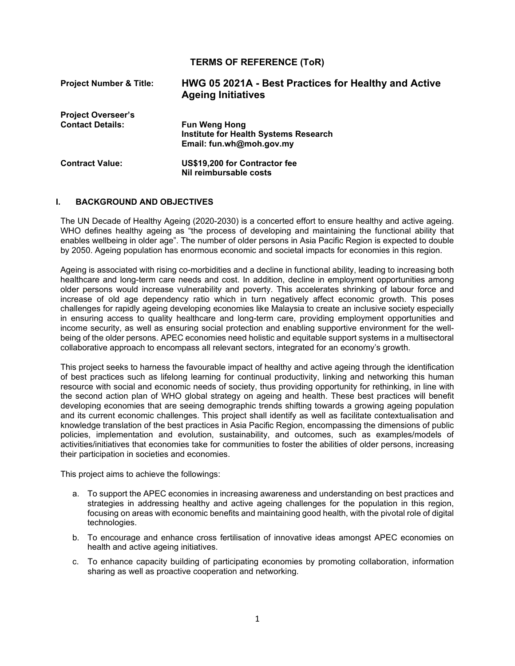# **TERMS OF REFERENCE (ToR)**

| <b>Project Number &amp; Title:</b> | HWG 05 2021A - Best Practices for Healthy and Active<br><b>Ageing Initiatives</b> |  |  |
|------------------------------------|-----------------------------------------------------------------------------------|--|--|
| <b>Project Overseer's</b>          |                                                                                   |  |  |
| <b>Contact Details:</b>            | <b>Fun Weng Hong</b>                                                              |  |  |
|                                    | <b>Institute for Health Systems Research</b>                                      |  |  |
|                                    | Email: fun.wh@moh.gov.my                                                          |  |  |
| <b>Contract Value:</b>             | US\$19,200 for Contractor fee                                                     |  |  |
|                                    | Nil reimbursable costs                                                            |  |  |

#### **I. BACKGROUND AND OBJECTIVES**

The UN Decade of Healthy Ageing (2020-2030) is a concerted effort to ensure healthy and active ageing. WHO defines healthy ageing as "the process of developing and maintaining the functional ability that enables wellbeing in older age". The number of older persons in Asia Pacific Region is expected to double by 2050. Ageing population has enormous economic and societal impacts for economies in this region.

Ageing is associated with rising co-morbidities and a decline in functional ability, leading to increasing both healthcare and long-term care needs and cost. In addition, decline in employment opportunities among older persons would increase vulnerability and poverty. This accelerates shrinking of labour force and increase of old age dependency ratio which in turn negatively affect economic growth. This poses challenges for rapidly ageing developing economies like Malaysia to create an inclusive society especially in ensuring access to quality healthcare and long-term care, providing employment opportunities and income security, as well as ensuring social protection and enabling supportive environment for the wellbeing of the older persons. APEC economies need holistic and equitable support systems in a multisectoral collaborative approach to encompass all relevant sectors, integrated for an economy's growth.

This project seeks to harness the favourable impact of healthy and active ageing through the identification of best practices such as lifelong learning for continual productivity, linking and networking this human resource with social and economic needs of society, thus providing opportunity for rethinking, in line with the second action plan of WHO global strategy on ageing and health. These best practices will benefit developing economies that are seeing demographic trends shifting towards a growing ageing population and its current economic challenges. This project shall identify as well as facilitate contextualisation and knowledge translation of the best practices in Asia Pacific Region, encompassing the dimensions of public policies, implementation and evolution, sustainability, and outcomes, such as examples/models of activities/initiatives that economies take for communities to foster the abilities of older persons, increasing their participation in societies and economies.

This project aims to achieve the followings:

- a. To support the APEC economies in increasing awareness and understanding on best practices and strategies in addressing healthy and active ageing challenges for the population in this region, focusing on areas with economic benefits and maintaining good health, with the pivotal role of digital technologies.
- b. To encourage and enhance cross fertilisation of innovative ideas amongst APEC economies on health and active ageing initiatives.
- c. To enhance capacity building of participating economies by promoting collaboration, information sharing as well as proactive cooperation and networking.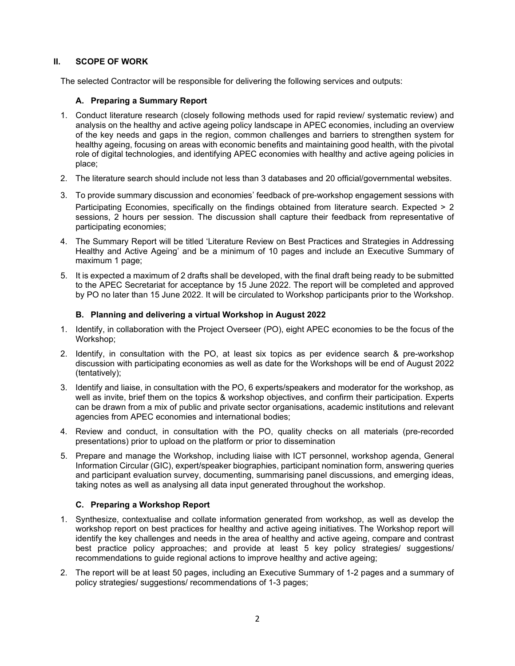### **II. SCOPE OF WORK**

The selected Contractor will be responsible for delivering the following services and outputs:

#### **A. Preparing a Summary Report**

- 1. Conduct literature research (closely following methods used for rapid review/ systematic review) and analysis on the healthy and active ageing policy landscape in APEC economies, including an overview of the key needs and gaps in the region, common challenges and barriers to strengthen system for healthy ageing, focusing on areas with economic benefits and maintaining good health, with the pivotal role of digital technologies, and identifying APEC economies with healthy and active ageing policies in place;
- 2. The literature search should include not less than 3 databases and 20 official/governmental websites.
- 3. To provide summary discussion and economies' feedback of pre-workshop engagement sessions with Participating Economies, specifically on the findings obtained from literature search. Expected > 2 sessions, 2 hours per session. The discussion shall capture their feedback from representative of participating economies;
- 4. The Summary Report will be titled 'Literature Review on Best Practices and Strategies in Addressing Healthy and Active Ageing' and be a minimum of 10 pages and include an Executive Summary of maximum 1 page;
- 5. It is expected a maximum of 2 drafts shall be developed, with the final draft being ready to be submitted to the APEC Secretariat for acceptance by 15 June 2022. The report will be completed and approved by PO no later than 15 June 2022. It will be circulated to Workshop participants prior to the Workshop.

#### **B. Planning and delivering a virtual Workshop in August 2022**

- 1. Identify, in collaboration with the Project Overseer (PO), eight APEC economies to be the focus of the Workshop;
- 2. Identify, in consultation with the PO, at least six topics as per evidence search & pre-workshop discussion with participating economies as well as date for the Workshops will be end of August 2022 (tentatively);
- 3. Identify and liaise, in consultation with the PO, 6 experts/speakers and moderator for the workshop, as well as invite, brief them on the topics & workshop objectives, and confirm their participation. Experts can be drawn from a mix of public and private sector organisations, academic institutions and relevant agencies from APEC economies and international bodies;
- 4. Review and conduct, in consultation with the PO, quality checks on all materials (pre-recorded presentations) prior to upload on the platform or prior to dissemination
- 5. Prepare and manage the Workshop, including liaise with ICT personnel, workshop agenda, General Information Circular (GIC), expert/speaker biographies, participant nomination form, answering queries and participant evaluation survey, documenting, summarising panel discussions, and emerging ideas, taking notes as well as analysing all data input generated throughout the workshop.

### **C. Preparing a Workshop Report**

- 1. Synthesize, contextualise and collate information generated from workshop, as well as develop the workshop report on best practices for healthy and active ageing initiatives. The Workshop report will identify the key challenges and needs in the area of healthy and active ageing, compare and contrast best practice policy approaches; and provide at least 5 key policy strategies/ suggestions/ recommendations to guide regional actions to improve healthy and active ageing;
- 2. The report will be at least 50 pages, including an Executive Summary of 1-2 pages and a summary of policy strategies/ suggestions/ recommendations of 1-3 pages;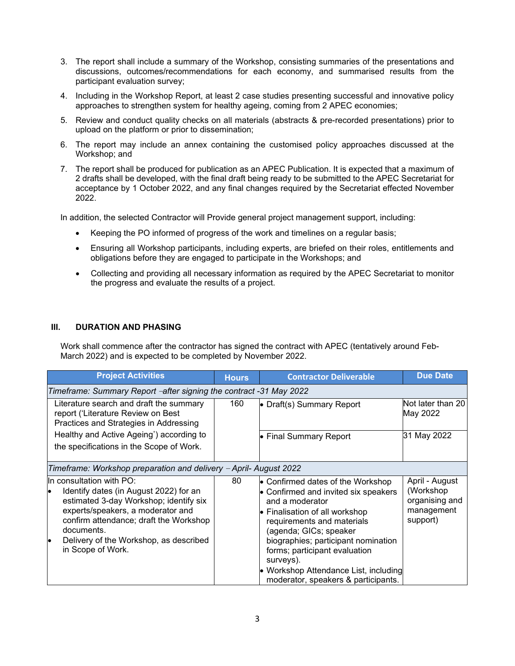- 3. The report shall include a summary of the Workshop, consisting summaries of the presentations and discussions, outcomes/recommendations for each economy, and summarised results from the participant evaluation survey;
- 4. Including in the Workshop Report, at least 2 case studies presenting successful and innovative policy approaches to strengthen system for healthy ageing, coming from 2 APEC economies;
- 5. Review and conduct quality checks on all materials (abstracts & pre-recorded presentations) prior to upload on the platform or prior to dissemination;
- 6. The report may include an annex containing the customised policy approaches discussed at the Workshop; and
- 7. The report shall be produced for publication as an APEC Publication. It is expected that a maximum of 2 drafts shall be developed, with the final draft being ready to be submitted to the APEC Secretariat for acceptance by 1 October 2022, and any final changes required by the Secretariat effected November 2022.

In addition, the selected Contractor will Provide general project management support, including:

- Keeping the PO informed of progress of the work and timelines on a regular basis;
- Ensuring all Workshop participants, including experts, are briefed on their roles, entitlements and obligations before they are engaged to participate in the Workshops; and
- Collecting and providing all necessary information as required by the APEC Secretariat to monitor the progress and evaluate the results of a project.

#### **III. DURATION AND PHASING**

Work shall commence after the contractor has signed the contract with APEC (tentatively around Feb-March 2022) and is expected to be completed by November 2022.

| <b>Project Activities</b>                                                                                                                                                                                                                                                  | <b>Hours</b> | <b>Contractor Deliverable</b>                                                                                                                                                                                                                                                                                                                               | <b>Due Date</b>                                                         |  |  |  |  |  |
|----------------------------------------------------------------------------------------------------------------------------------------------------------------------------------------------------------------------------------------------------------------------------|--------------|-------------------------------------------------------------------------------------------------------------------------------------------------------------------------------------------------------------------------------------------------------------------------------------------------------------------------------------------------------------|-------------------------------------------------------------------------|--|--|--|--|--|
| Timeframe: Summary Report -after signing the contract -31 May 2022                                                                                                                                                                                                         |              |                                                                                                                                                                                                                                                                                                                                                             |                                                                         |  |  |  |  |  |
| Literature search and draft the summary<br>report ('Literature Review on Best<br>Practices and Strategies in Addressing                                                                                                                                                    | 160          | • Draft(s) Summary Report                                                                                                                                                                                                                                                                                                                                   | Not later than 20<br>May 2022                                           |  |  |  |  |  |
| Healthy and Active Ageing') according to<br>the specifications in the Scope of Work.                                                                                                                                                                                       |              | • Final Summary Report                                                                                                                                                                                                                                                                                                                                      | 31 May 2022                                                             |  |  |  |  |  |
| Timeframe: Workshop preparation and delivery - April- August 2022                                                                                                                                                                                                          |              |                                                                                                                                                                                                                                                                                                                                                             |                                                                         |  |  |  |  |  |
| In consultation with $PO:$<br>Identify dates (in August 2022) for an<br>estimated 3-day Workshop; identify six<br>experts/speakers, a moderator and<br>confirm attendance; draft the Workshop<br>documents.<br>Delivery of the Workshop, as described<br>in Scope of Work. | 80           | • Confirmed dates of the Workshop<br>• Confirmed and invited six speakers<br>and a moderator<br>• Finalisation of all workshop<br>requirements and materials<br>(agenda; GICs; speaker<br>biographies; participant nomination<br>forms; participant evaluation<br>surveys).<br>• Workshop Attendance List, including<br>moderator, speakers & participants. | April - August<br>(Workshop<br>organising and<br>management<br>support) |  |  |  |  |  |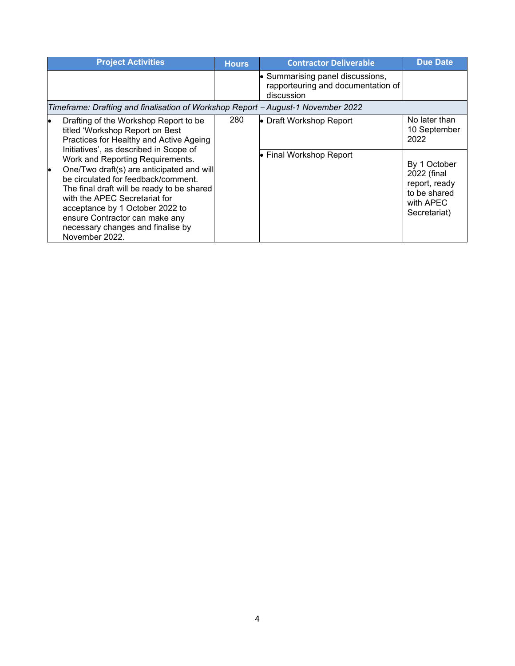| <b>Project Activities</b>                                                                                                                                                                                                                                                                                                                                                 | <b>Hours</b> | <b>Contractor Deliverable</b>                                                        | <b>Due Date</b>                                                                           |  |  |  |  |
|---------------------------------------------------------------------------------------------------------------------------------------------------------------------------------------------------------------------------------------------------------------------------------------------------------------------------------------------------------------------------|--------------|--------------------------------------------------------------------------------------|-------------------------------------------------------------------------------------------|--|--|--|--|
|                                                                                                                                                                                                                                                                                                                                                                           |              | • Summarising panel discussions,<br>rapporteuring and documentation of<br>discussion |                                                                                           |  |  |  |  |
| Timeframe: Drafting and finalisation of Workshop Report - August-1 November 2022                                                                                                                                                                                                                                                                                          |              |                                                                                      |                                                                                           |  |  |  |  |
| Drafting of the Workshop Report to be<br>titled 'Workshop Report on Best<br>Practices for Healthy and Active Ageing                                                                                                                                                                                                                                                       | 280          | • Draft Workshop Report                                                              | No later than<br>10 September<br>2022                                                     |  |  |  |  |
| Initiatives', as described in Scope of<br>Work and Reporting Requirements.<br>One/Two draft(s) are anticipated and will<br>be circulated for feedback/comment.<br>The final draft will be ready to be shared<br>with the APEC Secretariat for<br>acceptance by 1 October 2022 to<br>ensure Contractor can make any<br>necessary changes and finalise by<br>November 2022. |              | • Final Workshop Report                                                              | By 1 October<br>2022 (final<br>report, ready<br>to be shared<br>with APEC<br>Secretariat) |  |  |  |  |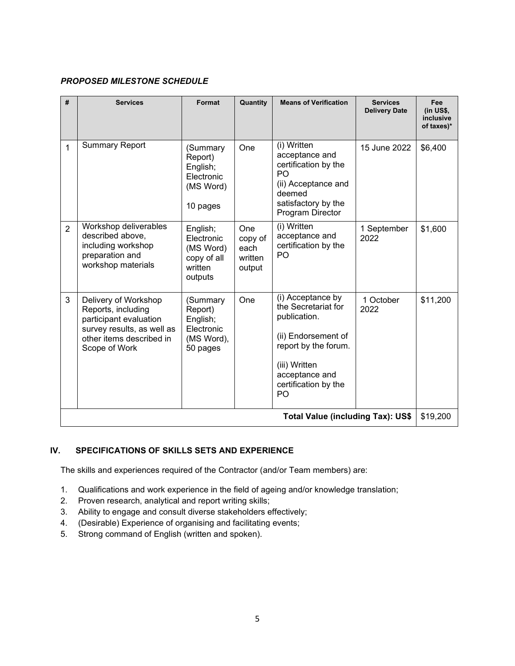### *PROPOSED MILESTONE SCHEDULE*

| #                                        | <b>Services</b>                                                                                                                                 | Format                                                                   | Quantity                                    | <b>Means of Verification</b>                                                                                                                                             | <b>Services</b><br><b>Delivery Date</b> | Fee<br>$(in$ US\$,<br>inclusive<br>of taxes)* |  |
|------------------------------------------|-------------------------------------------------------------------------------------------------------------------------------------------------|--------------------------------------------------------------------------|---------------------------------------------|--------------------------------------------------------------------------------------------------------------------------------------------------------------------------|-----------------------------------------|-----------------------------------------------|--|
| 1                                        | <b>Summary Report</b>                                                                                                                           | (Summary<br>Report)<br>English;<br>Electronic<br>(MS Word)<br>10 pages   | One                                         | (i) Written<br>acceptance and<br>certification by the<br>PO<br>(ii) Acceptance and<br>deemed<br>satisfactory by the<br>Program Director                                  | 15 June 2022                            | \$6,400                                       |  |
| $\overline{2}$                           | Workshop deliverables<br>described above,<br>including workshop<br>preparation and<br>workshop materials                                        | English;<br>Electronic<br>(MS Word)<br>copy of all<br>written<br>outputs | One<br>copy of<br>each<br>written<br>output | (i) Written<br>acceptance and<br>certification by the<br>PO                                                                                                              | 1 September<br>2022                     | \$1,600                                       |  |
| 3                                        | Delivery of Workshop<br>Reports, including<br>participant evaluation<br>survey results, as well as<br>other items described in<br>Scope of Work | (Summary<br>Report)<br>English;<br>Electronic<br>(MS Word),<br>50 pages  | One                                         | (i) Acceptance by<br>the Secretariat for<br>publication.<br>(ii) Endorsement of<br>report by the forum.<br>(iii) Written<br>acceptance and<br>certification by the<br>PO | 1 October<br>2022                       | \$11,200                                      |  |
| <b>Total Value (including Tax): US\$</b> |                                                                                                                                                 |                                                                          |                                             |                                                                                                                                                                          |                                         |                                               |  |

# **IV. SPECIFICATIONS OF SKILLS SETS AND EXPERIENCE**

The skills and experiences required of the Contractor (and/or Team members) are:

- 1. Qualifications and work experience in the field of ageing and/or knowledge translation;
- 2. Proven research, analytical and report writing skills;
- 3. Ability to engage and consult diverse stakeholders effectively;
- 4. (Desirable) Experience of organising and facilitating events;
- 5. Strong command of English (written and spoken).